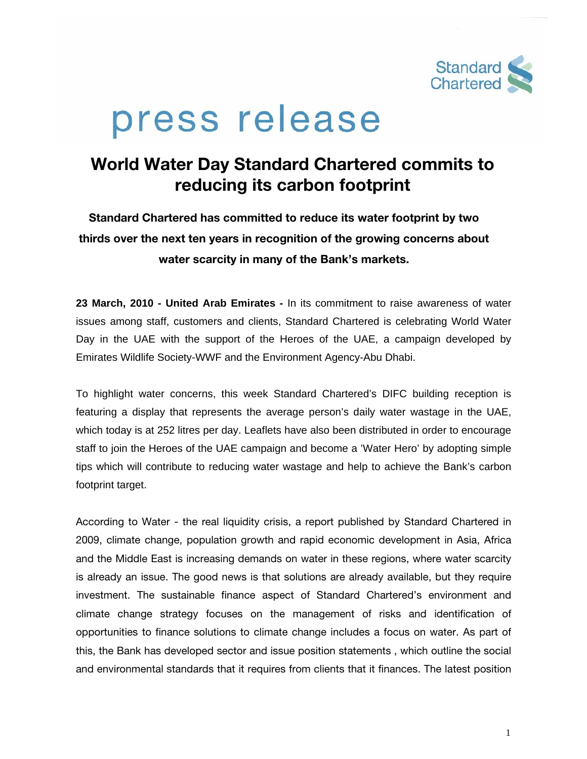

# press release

## **World Water Day Standard Chartered commits to reducing its carbon footprint**

**Standard Chartered has committed to reduce its water footprint by two thirds over the next ten years in recognition of the growing concerns about water scarcity in many of the Bank's markets.** 

**23 March, 2010 - United Arab Emirates -** In its commitment to raise awareness of water issues among staff, customers and clients, Standard Chartered is celebrating World Water Day in the UAE with the support of the Heroes of the UAE, a campaign developed by Emirates Wildlife Society-WWF and the Environment Agency-Abu Dhabi.

To highlight water concerns, this week Standard Chartered's DIFC building reception is featuring a display that represents the average person's daily water wastage in the UAE, which today is at 252 litres per day. Leaflets have also been distributed in order to encourage staff to join the Heroes of the UAE campaign and become a 'Water Hero' by adopting simple tips which will contribute to reducing water wastage and help to achieve the Bank's carbon footprint target.

According to Water - the real liquidity crisis, a report published by Standard Chartered in 2009, climate change, population growth and rapid economic development in Asia, Africa and the Middle East is increasing demands on water in these regions, where water scarcity is already an issue. The good news is that solutions are already available, but they require investment. The sustainable finance aspect of Standard Chartered's environment and climate change strategy focuses on the management of risks and identification of opportunities to finance solutions to climate change includes a focus on water. As part of this, the Bank has developed sector and issue position statements , which outline the social and environmental standards that it requires from clients that it finances. The latest position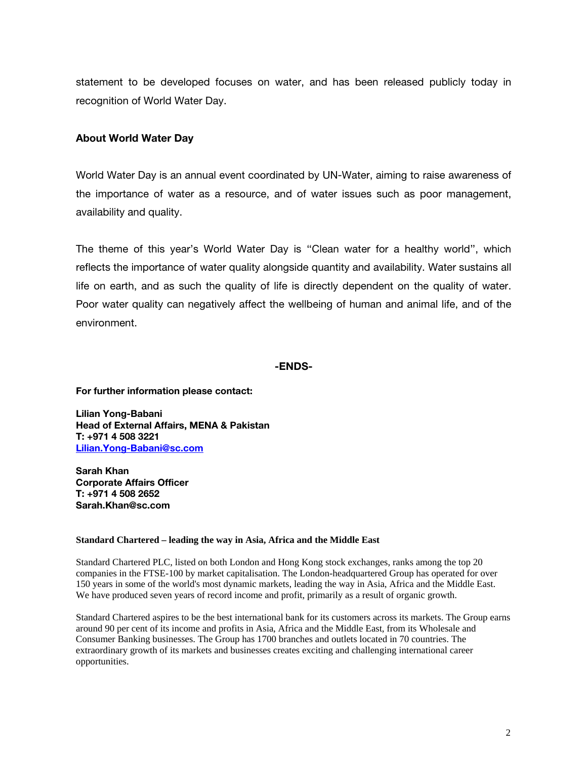statement to be developed focuses on water, and has been released publicly today in recognition of World Water Day.

### **About World Water Day**

World Water Day is an annual event coordinated by UN-Water, aiming to raise awareness of the importance of water as a resource, and of water issues such as poor management, availability and quality.

The theme of this year's World Water Day is ''Clean water for a healthy world'', which reflects the importance of water quality alongside quantity and availability. Water sustains all life on earth, and as such the quality of life is directly dependent on the quality of water. Poor water quality can negatively affect the wellbeing of human and animal life, and of the environment.

#### **-ENDS-**

**For further information please contact:** 

**Lilian Yong-Babani Head of External Affairs, MENA & Pakistan T: +971 4 508 3221 Lilian.Yong-Babani@sc.com**

**Sarah Khan Corporate Affairs Officer T: +971 4 508 2652 Sarah.Khan@sc.com** 

#### **Standard Chartered – leading the way in Asia, Africa and the Middle East**

Standard Chartered PLC, listed on both London and Hong Kong stock exchanges, ranks among the top 20 companies in the FTSE-100 by market capitalisation. The London-headquartered Group has operated for over 150 years in some of the world's most dynamic markets, leading the way in Asia, Africa and the Middle East. We have produced seven years of record income and profit, primarily as a result of organic growth.

Standard Chartered aspires to be the best international bank for its customers across its markets. The Group earns around 90 per cent of its income and profits in Asia, Africa and the Middle East, from its Wholesale and Consumer Banking businesses. The Group has 1700 branches and outlets located in 70 countries. The extraordinary growth of its markets and businesses creates exciting and challenging international career opportunities.